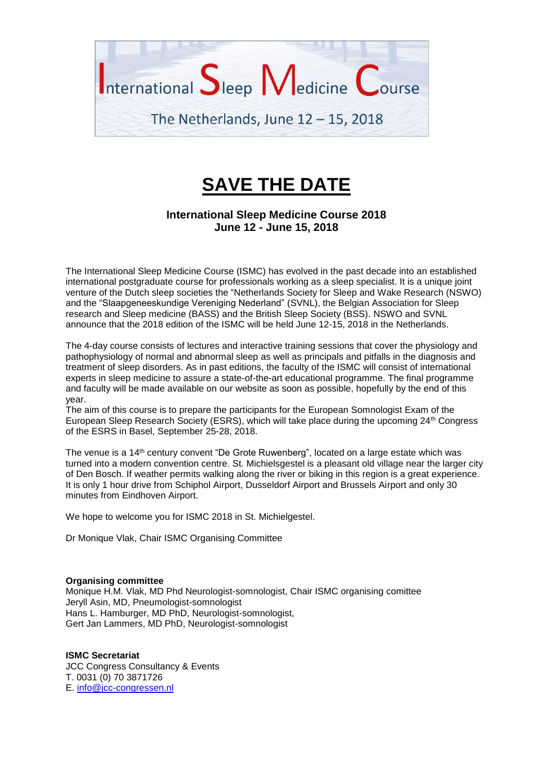

# **SAVE THE DATE**

# **International Sleep Medicine Course 2018 June 12 - June 15, 2018**

The International Sleep Medicine Course (ISMC) has evolved in the past decade into an established international postgraduate course for professionals working as a sleep specialist. It is a unique joint venture of the Dutch sleep societies the "Netherlands Society for Sleep and Wake Research (NSWO) and the "Slaapgeneeskundige Vereniging Nederland" (SVNL), the Belgian Association for Sleep research and Sleep medicine (BASS) and the British Sleep Society (BSS). NSWO and SVNL announce that the 2018 edition of the ISMC will be held June 12-15, 2018 in the Netherlands.

The 4-day course consists of lectures and interactive training sessions that cover the physiology and pathophysiology of normal and abnormal sleep as well as principals and pitfalls in the diagnosis and treatment of sleep disorders. As in past editions, the faculty of the ISMC will consist of international experts in sleep medicine to assure a state-of-the-art educational programme. The final programme and faculty will be made available on our website as soon as possible, hopefully by the end of this year.

The aim of this course is to prepare the participants for the European Somnologist Exam of the European Sleep Research Society (ESRS), which will take place during the upcoming 24<sup>th</sup> Congress of the ESRS in Basel, September 25-28, 2018.

The venue is a 14<sup>th</sup> century convent "De Grote Ruwenberg", located on a large estate which was turned into a modern convention centre. St. Michielsgestel is a pleasant old village near the larger city of Den Bosch. If weather permits walking along the river or biking in this region is a great experience. It is only 1 hour drive from Schiphol Airport, Dusseldorf Airport and Brussels Airport and only 30 minutes from Eindhoven Airport.

We hope to welcome you for ISMC 2018 in St. Michielgestel.

Dr Monique Vlak, Chair ISMC Organising Committee

#### **Organising committee**

Monique H.M. Vlak, MD Phd Neurologist-somnologist, Chair ISMC organising comittee Jeryll Asin, MD, Pneumologist-somnologist Hans L. Hamburger, MD PhD, Neurologist-somnologist, Gert Jan Lammers, MD PhD, Neurologist-somnologist

### **ISMC Secretariat**

JCC Congress Consultancy & Events T. 0031 (0) 70 3871726 E. [info@jcc-congressen.nl](mailto:info@jcc-congressen.nl)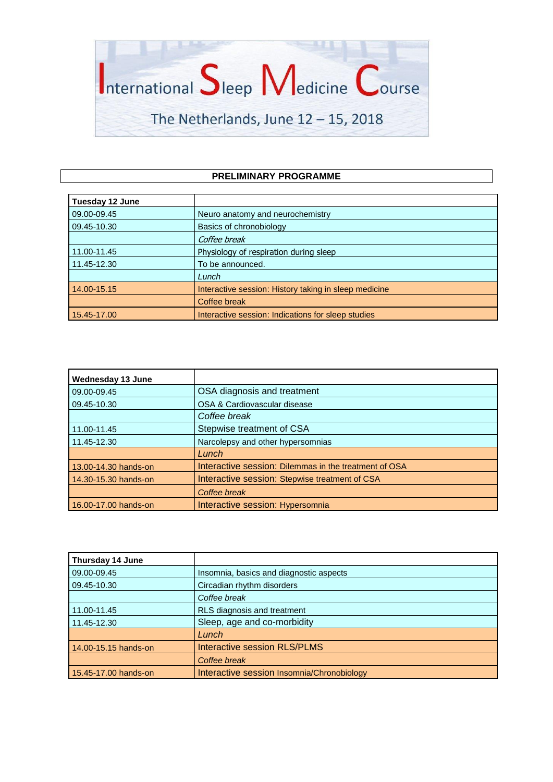

# **PRELIMINARY PROGRAMME**

| Tuesday 12 June |                                                       |
|-----------------|-------------------------------------------------------|
| 09.00-09.45     | Neuro anatomy and neurochemistry                      |
| 09.45-10.30     | Basics of chronobiology                               |
|                 | Coffee break                                          |
| 11.00-11.45     | Physiology of respiration during sleep                |
| 11.45-12.30     | To be announced.                                      |
|                 | Lunch                                                 |
| 14.00-15.15     | Interactive session: History taking in sleep medicine |
|                 | Coffee break                                          |
| 15.45-17.00     | Interactive session: Indications for sleep studies    |

| <b>Wednesday 13 June</b> |                                                       |
|--------------------------|-------------------------------------------------------|
| 09.00-09.45              | OSA diagnosis and treatment                           |
| 09.45-10.30              | OSA & Cardiovascular disease                          |
|                          | Coffee break                                          |
| 11.00-11.45              | Stepwise treatment of CSA                             |
| 11.45-12.30              | Narcolepsy and other hypersomnias                     |
|                          | Lunch                                                 |
| 13.00-14.30 hands-on     | Interactive session: Dilemmas in the treatment of OSA |
| 14.30-15.30 hands-on     | Interactive session: Stepwise treatment of CSA        |
|                          | Coffee break                                          |
| 16.00-17.00 hands-on     | Interactive session: Hypersomnia                      |

| Thursday 14 June     |                                            |
|----------------------|--------------------------------------------|
| 09.00-09.45          | Insomnia, basics and diagnostic aspects    |
| 09.45-10.30          | Circadian rhythm disorders                 |
|                      | Coffee break                               |
| 11.00-11.45          | RLS diagnosis and treatment                |
| 11.45-12.30          | Sleep, age and co-morbidity                |
|                      | Lunch                                      |
| 14.00-15.15 hands-on | <b>Interactive session RLS/PLMS</b>        |
|                      | Coffee break                               |
| 15.45-17.00 hands-on | Interactive session Insomnia/Chronobiology |